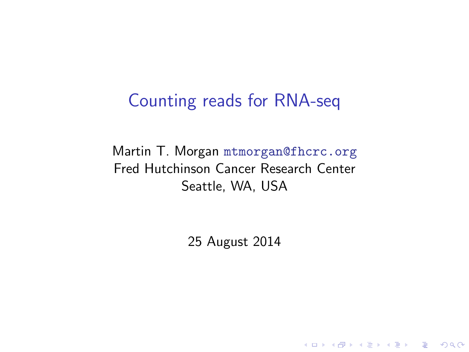#### Counting reads for RNA-seq

Martin T. Morgan <mtmorgan@fhcrc.org> Fred Hutchinson Cancer Research Center Seattle, WA, USA

25 August 2014

K ロ ▶ K 個 ▶ K 할 ▶ K 할 ▶ 이 할 → 9 Q Q →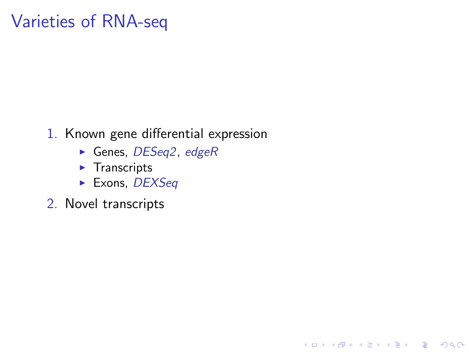## Varieties of RNA-seq

1. Known gene differential expression

K ロ ▶ K 個 ▶ K 할 ▶ K 할 ▶ 이 할 → 9 Q Q →

- $\blacktriangleright$  Genes, [DESeq2](http://bioconductor.org/packages/release/bioc/html/DESeq2.html), [edgeR](http://bioconductor.org/packages/release/bioc/html/edgeR.html)
- $\blacktriangleright$  Transcripts
- $\blacktriangleright$  Exons, [DEXSeq](http://bioconductor.org/packages/release/bioc/html/DEXSeq.html)
- 2. Novel transcripts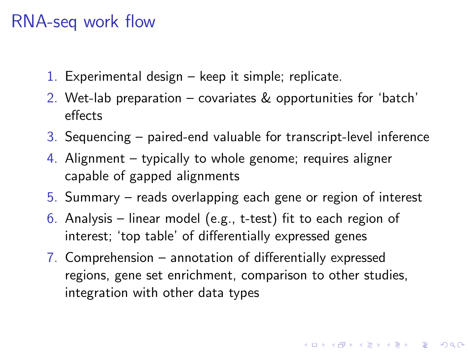## RNA-seq work flow

- 1. Experimental design keep it simple; replicate.
- 2. Wet-lab preparation covariates & opportunities for 'batch' effects
- 3. Sequencing paired-end valuable for transcript-level inference
- 4. Alignment typically to whole genome; requires aligner capable of gapped alignments
- 5. Summary reads overlapping each gene or region of interest
- 6. Analysis linear model (e.g., t-test) fit to each region of interest; 'top table' of differentially expressed genes
- 7. Comprehension annotation of differentially expressed regions, gene set enrichment, comparison to other studies, integration with other data types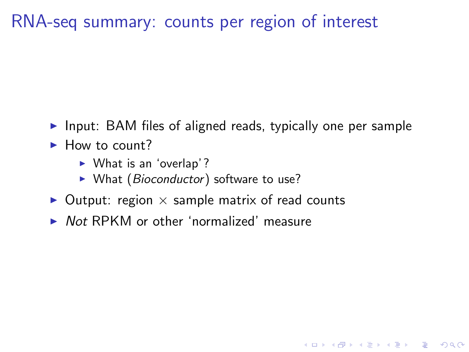## RNA-seq summary: counts per region of interest

 $\triangleright$  Input: BAM files of aligned reads, typically one per sample

**KORKARA REPASA DA VOCA** 

- $\blacktriangleright$  How to count?
	- $\triangleright$  What is an 'overlap'?
	- $\triangleright$  What (Bioconductor) software to use?
- $\triangleright$  Output: region  $\times$  sample matrix of read counts
- $\triangleright$  Not RPKM or other 'normalized' measure